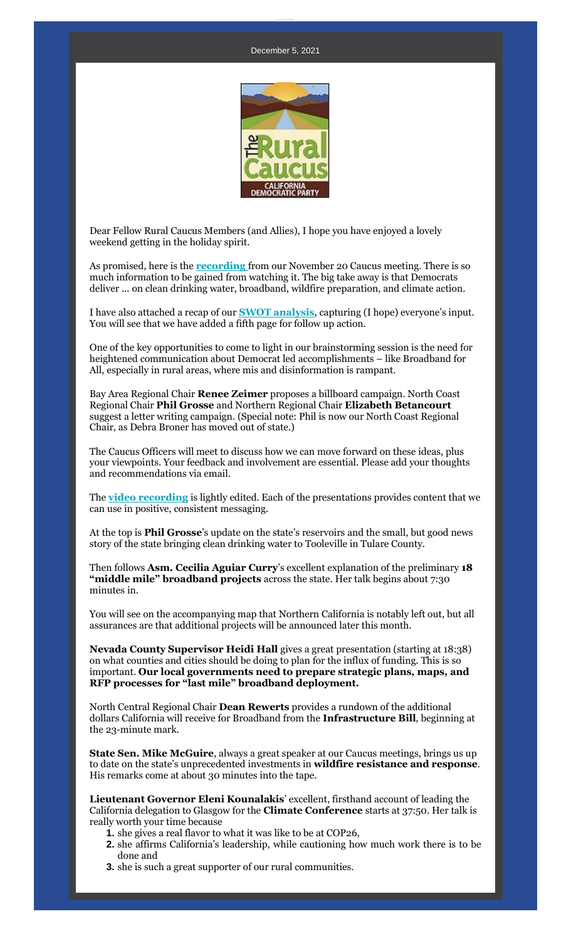

Dear Fellow Rural Caucus Members (and Allies), I hope you have enjoyed a lovely weekend getting in the holiday spirit.

As promised, here is the **[recording](https://r20.rs6.net/tn.jsp?f=001F6zFmaCsdWxkESE-3Toq-1eASG2A63TgLspaTmvBACh40Kvp04hj5HAMXjtFpgaDedh6tpQL-i3e5gno_33yYYYWjTtz86sPnB5w23Di3w4qwOdoGeC1zJ7khYCQ-FxgdMcXyUIuKeNjzYGWp5zVxOWDlybuGuOblAK3j0H2_GBfzSvg1G3WZROIMs1G-pxedVWpkbBHWfev0gn-Pnj2E2CHPkdMjRkwOyTbFIWr23M=&c=O-a3Ai_XKLeabCwW_zbCIqgZHnz2mR6-Pkf7bDDTSYX5jX_qxd-cbA==&ch=n75ZsWykW2NTG_r7gNEX5IR2Oloiya2kS20Xk196T3xnQUuIgBKpbw==)** from our November 20 Caucus meeting. There is so much information to be gained from watching it. The big take away is that Democrats deliver ... on clean drinking water, broadband, wildfire preparation, and climate action.

I have also attached a recap of our **[SWOT analysis](https://r20.rs6.net/tn.jsp?f=001F6zFmaCsdWxkESE-3Toq-1eASG2A63TgLspaTmvBACh40Kvp04hj5HAMXjtFpgaDIPz6A4t2CwK6P6Id5tjXk9fABSI0vJmAbdhpr4pAlCndedkWvFdzMJdOO29AQ6t3dZ71u_HTLUwhhsklwgOkElnWdYrDKBzjdHenbmViC8aZGqGiNEmfYAuVbXz4xSvBNrIGZDvMHTvzeO8UWT2c09NL3wc-vhRaGBvIo0TiAFA=&c=O-a3Ai_XKLeabCwW_zbCIqgZHnz2mR6-Pkf7bDDTSYX5jX_qxd-cbA==&ch=n75ZsWykW2NTG_r7gNEX5IR2Oloiya2kS20Xk196T3xnQUuIgBKpbw==)**, capturing (I hope) everyone's input. You will see that we have added a fifth page for follow up action.

One of the key opportunities to come to light in our brainstorming session is the need for heightened communication about Democrat led accomplishments – like Broadband for All, especially in rural areas, where mis and disinformation is rampant.

Bay Area Regional Chair **Renee Zeimer** proposes a billboard campaign. North Coast Regional Chair **Phil Grosse** and Northern Regional Chair **Elizabeth Betancourt** suggest a letter writing campaign. (Special note: Phil is now our North Coast Regional Chair, as Debra Broner has moved out of state.)

The Caucus Officers will meet to discuss how we can move forward on these ideas, plus your viewpoints. Your feedback and involvement are essential. Please add your thoughts and recommendations via email.

The **[video recording](https://r20.rs6.net/tn.jsp?f=001F6zFmaCsdWxkESE-3Toq-1eASG2A63TgLspaTmvBACh40Kvp04hj5HAMXjtFpgaDedh6tpQL-i3e5gno_33yYYYWjTtz86sPnB5w23Di3w4qwOdoGeC1zJ7khYCQ-FxgdMcXyUIuKeNjzYGWp5zVxOWDlybuGuOblAK3j0H2_GBfzSvg1G3WZROIMs1G-pxedVWpkbBHWfev0gn-Pnj2E2CHPkdMjRkwOyTbFIWr23M=&c=O-a3Ai_XKLeabCwW_zbCIqgZHnz2mR6-Pkf7bDDTSYX5jX_qxd-cbA==&ch=n75ZsWykW2NTG_r7gNEX5IR2Oloiya2kS20Xk196T3xnQUuIgBKpbw==)** is lightly edited. Each of the presentations provides content that we can use in positive, consistent messaging.

At the top is **Phil Grosse**'s update on the state's reservoirs and the small, but good news story of the state bringing clean drinking water to Tooleville in Tulare County.

Then follows **Asm. Cecilia Aguiar Curry**'s excellent explanation of the preliminary **18 "middle mile" broadband projects** across the state. Her talk begins about 7:30 minutes in.

You will see on the accompanying map that Northern California is notably left out, but all assurances are that additional projects will be announced later this month.

**Nevada County Supervisor Heidi Hall** gives a great presentation (starting at 18:38) on what counties and cities should be doing to plan for the influx of funding. This is so important. **Our local governments need to prepare strategic plans, maps, and RFP processes for "last mile" broadband deployment.** 

North Central Regional Chair **Dean Rewerts** provides a rundown of the additional dollars California will receive for Broadband from the **Infrastructure Bill**, beginning at the 23-minute mark.

**State Sen. Mike McGuire**, always a great speaker at our Caucus meetings, brings us up to date on the state's unprecedented investments in **wildfire resistance and response**. His remarks come at about 30 minutes into the tape.

**Lieutenant Governor Eleni Kounalakis**' excellent, firsthand account of leading the California delegation to Glasgow for the **Climate Conference** starts at 37:50. Her talk is really worth your time because

- **1.** she gives a real flavor to what it was like to be at COP26,
- **2.** she affirms California's leadership, while cautioning how much work there is to be done and
- **3.** she is such a great supporter of our rural communities.